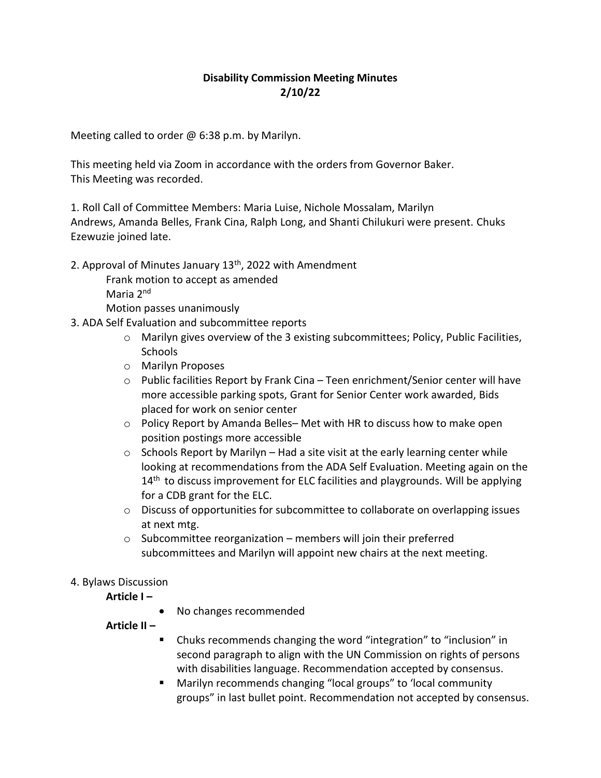## **Disability Commission Meeting Minutes 2/10/22**

Meeting called to order  $\omega$  6:38 p.m. by Marilyn.

This meeting held via Zoom in accordance with the orders from Governor Baker. This Meeting was recorded.

1. Roll Call of Committee Members: Maria Luise, Nichole Mossalam, Marilyn Andrews, Amanda Belles, Frank Cina, Ralph Long, and Shanti Chilukuri were present. Chuks Ezewuzie joined late.

2. Approval of Minutes January  $13<sup>th</sup>$ , 2022 with Amendment

Frank motion to accept as amended Maria 2nd

Motion passes unanimously

- 3. ADA Self Evaluation and subcommittee reports
	- $\circ$  Marilyn gives overview of the 3 existing subcommittees; Policy, Public Facilities, **Schools**
	- o Marilyn Proposes
	- $\circ$  Public facilities Report by Frank Cina Teen enrichment/Senior center will have more accessible parking spots, Grant for Senior Center work awarded, Bids placed for work on senior center
	- $\circ$  Policy Report by Amanda Belles– Met with HR to discuss how to make open position postings more accessible
	- $\circ$  Schools Report by Marilyn Had a site visit at the early learning center while looking at recommendations from the ADA Self Evaluation. Meeting again on the 14<sup>th</sup> to discuss improvement for ELC facilities and playgrounds. Will be applying for a CDB grant for the ELC.
	- $\circ$  Discuss of opportunities for subcommittee to collaborate on overlapping issues at next mtg.
	- $\circ$  Subcommittee reorganization members will join their preferred subcommittees and Marilyn will appoint new chairs at the next meeting.

## 4. Bylaws Discussion

**Article I –**

• No changes recommended

**Article II –**

- Chuks recommends changing the word "integration" to "inclusion" in second paragraph to align with the UN Commission on rights of persons with disabilities language. Recommendation accepted by consensus.
- Marilyn recommends changing "local groups" to 'local community groups" in last bullet point. Recommendation not accepted by consensus.